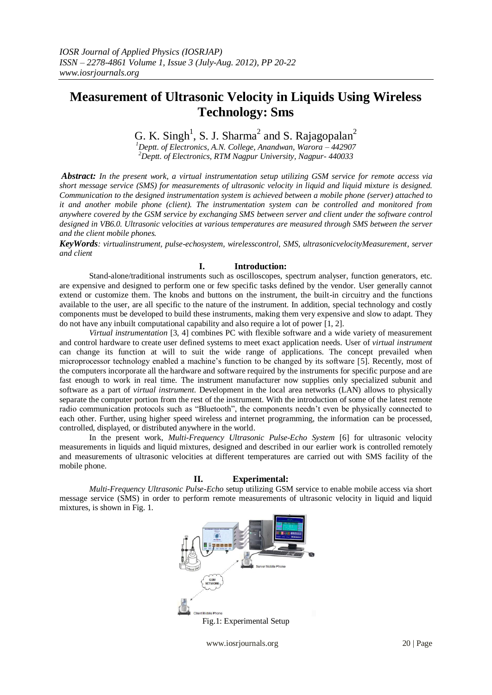# **Measurement of Ultrasonic Velocity in Liquids Using Wireless Technology: Sms**

G. K. Singh<sup>1</sup>, S. J. Sharma<sup>2</sup> and S. Rajagopalan<sup>2</sup>

*<sup>1</sup>Deptt. of Electronics, A.N. College, Anandwan, Warora – 442907 <sup>2</sup>Deptt. of Electronics, RTM Nagpur University, Nagpur- 440033*

*Abstract: In the present work, a virtual instrumentation setup utilizing GSM service for remote access via short message service (SMS) for measurements of ultrasonic velocity in liquid and liquid mixture is designed. Communication to the designed instrumentation system is achieved between a mobile phone (server) attached to it and another mobile phone (client). The instrumentation system can be controlled and monitored from anywhere covered by the GSM service by exchanging SMS between server and client under the software control designed in VB6.0. Ultrasonic velocities at various temperatures are measured through SMS between the server and the client mobile phones.*

*KeyWords: virtualinstrument, pulse-echosystem, wirelesscontrol, SMS, ultrasonicvelocityMeasurement, server and client*

## **I. Introduction:**

Stand-alone/traditional instruments such as oscilloscopes, spectrum analyser, function generators, etc. are expensive and designed to perform one or few specific tasks defined by the vendor. User generally cannot extend or customize them. The knobs and buttons on the instrument, the built-in circuitry and the functions available to the user, are all specific to the nature of the instrument. In addition, special technology and costly components must be developed to build these instruments, making them very expensive and slow to adapt. They do not have any inbuilt computational capability and also require a lot of power [1, 2].

*Virtual instrumentation* [3, 4] combines PC with flexible software and a wide variety of measurement and control hardware to create user defined systems to meet exact application needs. User of *virtual instrument* can change its function at will to suit the wide range of applications. The concept prevailed when microprocessor technology enabled a machine's function to be changed by its software [5]. Recently, most of the computers incorporate all the hardware and software required by the instruments for specific purpose and are fast enough to work in real time. The instrument manufacturer now supplies only specialized subunit and software as a part of *virtual instrument*. Development in the local area networks (LAN) allows to physically separate the computer portion from the rest of the instrument. With the introduction of some of the latest remote radio communication protocols such as "Bluetooth", the components needn't even be physically connected to each other. Further, using higher speed wireless and internet programming, the information can be processed, controlled, displayed, or distributed anywhere in the world.

In the present work, *Multi-Frequency Ultrasonic Pulse-Echo System* [6] for ultrasonic velocity measurements in liquids and liquid mixtures, designed and described in our earlier work is controlled remotely and measurements of ultrasonic velocities at different temperatures are carried out with SMS facility of the mobile phone.

## **II. Experimental:**

*Multi-Frequency Ultrasonic Pulse-Echo* setup utilizing GSM service to enable mobile access via short message service (SMS) in order to perform remote measurements of ultrasonic velocity in liquid and liquid mixtures, is shown in Fig. 1.



www.iosrjournals.org 20 | Page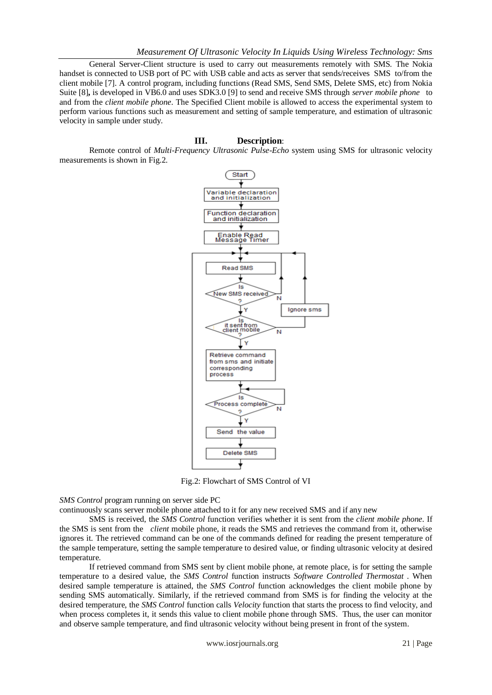General Server-Client structure is used to carry out measurements remotely with SMS. The Nokia handset is connected to USB port of PC with USB cable and acts as server that sends/receives SMS to/from the client mobile [7]. A control program, including functions (Read SMS, Send SMS, Delete SMS, etc) from Nokia Suite [8]**,** is developed in VB6.0 and uses SDK3.0 [9] to send and receive SMS through *server mobile phone* to and from the *client mobile phone*. The Specified Client mobile is allowed to access the experimental system to perform various functions such as measurement and setting of sample temperature, and estimation of ultrasonic velocity in sample under study.

### **III. Description**:

Remote control of *Multi-Frequency Ultrasonic Pulse-Echo* system using SMS for ultrasonic velocity measurements is shown in Fig.2.



Fig.2: Flowchart of SMS Control of VI

*SMS Control* program running on server side PC

continuously scans server mobile phone attached to it for any new received SMS and if any new

SMS is received, the *SMS Control* function verifies whether it is sent from the *client mobile phone*. If the SMS is sent from the *client* mobile phone, it reads the SMS and retrieves the command from it, otherwise ignores it. The retrieved command can be one of the commands defined for reading the present temperature of the sample temperature, setting the sample temperature to desired value, or finding ultrasonic velocity at desired temperature.

If retrieved command from SMS sent by client mobile phone, at remote place, is for setting the sample temperature to a desired value, the *SMS Control* function instructs *Software Controlled Thermostat* . When desired sample temperature is attained, the *SMS Control* function acknowledges the client mobile phone by sending SMS automatically. Similarly, if the retrieved command from SMS is for finding the velocity at the desired temperature, the *SMS Control* function calls *Velocity* function that starts the process to find velocity, and when process completes it, it sends this value to client mobile phone through SMS. Thus, the user can monitor and observe sample temperature, and find ultrasonic velocity without being present in front of the system.

www.iosrjournals.org 21 | Page